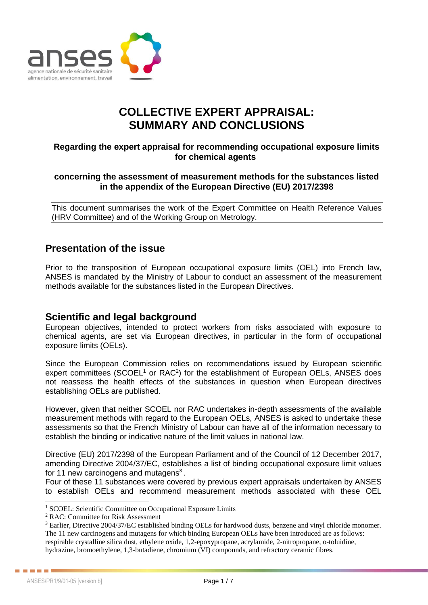

# **COLLECTIVE EXPERT APPRAISAL: SUMMARY AND CONCLUSIONS**

#### **Regarding the expert appraisal for recommending occupational exposure limits for chemical agents**

#### **concerning the assessment of measurement methods for the substances listed in the appendix of the European Directive (EU) 2017/2398**

This document summarises the work of the Expert Committee on Health Reference Values (HRV Committee) and of the Working Group on Metrology.

## **Presentation of the issue**

Prior to the transposition of European occupational exposure limits (OEL) into French law, ANSES is mandated by the Ministry of Labour to conduct an assessment of the measurement methods available for the substances listed in the European Directives.

### **Scientific and legal background**

European objectives, intended to protect workers from risks associated with exposure to chemical agents, are set via European directives, in particular in the form of occupational exposure limits (OELs).

Since the European Commission relies on recommendations issued by European scientific expert committees (SCOEL $1$  or RAC $2$ ) for the establishment of European OELs, ANSES does not reassess the health effects of the substances in question when European directives establishing OELs are published.

However, given that neither SCOEL nor RAC undertakes in-depth assessments of the available measurement methods with regard to the European OELs, ANSES is asked to undertake these assessments so that the French Ministry of Labour can have all of the information necessary to establish the binding or indicative nature of the limit values in national law.

Directive (EU) 2017/2398 of the European Parliament and of the Council of 12 December 2017, amending Directive 2004/37/EC, establishes a list of binding occupational exposure limit values for 11 new carcinogens and mutagens<sup>3</sup>.

Four of these 11 substances were covered by previous expert appraisals undertaken by ANSES to establish OELs and recommend measurement methods associated with these OEL

 $\overline{a}$ 

. . . . . . **.** 

<sup>&</sup>lt;sup>1</sup> SCOEL: Scientific Committee on Occupational Exposure Limits

<sup>2</sup> RAC: Committee for Risk Assessment

<sup>&</sup>lt;sup>3</sup> Earlier, Directive 2004/37/EC established binding OELs for hardwood dusts, benzene and vinyl chloride monomer. The 11 new carcinogens and mutagens for which binding European OELs have been introduced are as follows: respirable crystalline silica dust, ethylene oxide, 1,2-epoxypropane, acrylamide, 2-nitropropane, o-toluidine, hydrazine, bromoethylene, 1,3-butadiene, chromium (VI) compounds, and refractory ceramic fibres.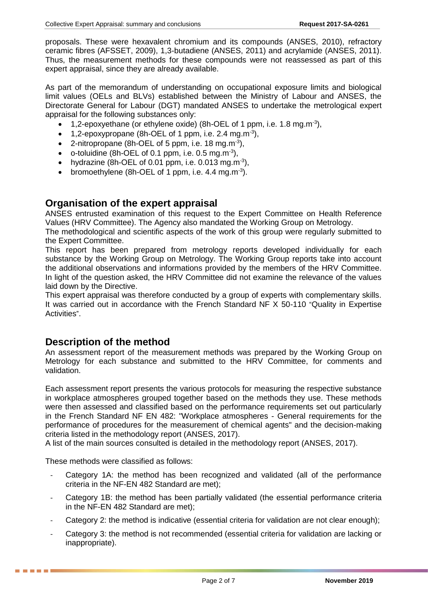proposals. These were hexavalent chromium and its compounds (ANSES, 2010), refractory ceramic fibres (AFSSET, 2009), 1,3-butadiene (ANSES, 2011) and acrylamide (ANSES, 2011). Thus, the measurement methods for these compounds were not reassessed as part of this expert appraisal, since they are already available.

As part of the memorandum of understanding on occupational exposure limits and biological limit values (OELs and BLVs) established between the Ministry of Labour and ANSES, the Directorate General for Labour (DGT) mandated ANSES to undertake the metrological expert appraisal for the following substances only:

- 1,2-epoxyethane (or ethylene oxide) (8h-OEL of 1 ppm, i.e. 1.8 mg.m<sup>-3</sup>),
- 1,2-epoxypropane (8h-OEL of 1 ppm, i.e. 2.4 mg.m<sup>-3</sup>),
- 2-nitropropane (8h-OEL of 5 ppm, i.e. 18 mg.m<sup>-3</sup>),
- o-toluidine (8h-OEL of 0.1 ppm, i.e.  $0.5 \text{ mg.m}^{-3}$ ),
- hydrazine (8h-OEL of 0.01 ppm, i.e. 0.013 mg.m<sup>-3</sup>),
- bromoethylene (8h-OEL of 1 ppm, i.e.  $4.4 \text{ mg.m}^{-3}$ ).

### **Organisation of the expert appraisal**

ANSES entrusted examination of this request to the Expert Committee on Health Reference Values (HRV Committee). The Agency also mandated the Working Group on Metrology.

The methodological and scientific aspects of the work of this group were regularly submitted to the Expert Committee.

This report has been prepared from metrology reports developed individually for each substance by the Working Group on Metrology. The Working Group reports take into account the additional observations and informations provided by the members of the HRV Committee. In light of the question asked, the HRV Committee did not examine the relevance of the values laid down by the Directive.

This expert appraisal was therefore conducted by a group of experts with complementary skills. It was carried out in accordance with the French Standard NF X 50-110 "Quality in Expertise Activities".

### **Description of the method**

An assessment report of the measurement methods was prepared by the Working Group on Metrology for each substance and submitted to the HRV Committee, for comments and validation.

Each assessment report presents the various protocols for measuring the respective substance in workplace atmospheres grouped together based on the methods they use. These methods were then assessed and classified based on the performance requirements set out particularly in the French Standard NF EN 482: "Workplace atmospheres - General requirements for the performance of procedures for the measurement of chemical agents" and the decision-making criteria listed in the methodology report (ANSES, 2017).

A list of the main sources consulted is detailed in the methodology report (ANSES, 2017).

These methods were classified as follows:

- Category 1A: the method has been recognized and validated (all of the performance criteria in the NF-EN 482 Standard are met);
- Category 1B: the method has been partially validated (the essential performance criteria in the NF-EN 482 Standard are met);
- Category 2: the method is indicative (essential criteria for validation are not clear enough);
- Category 3: the method is not recommended (essential criteria for validation are lacking or inappropriate).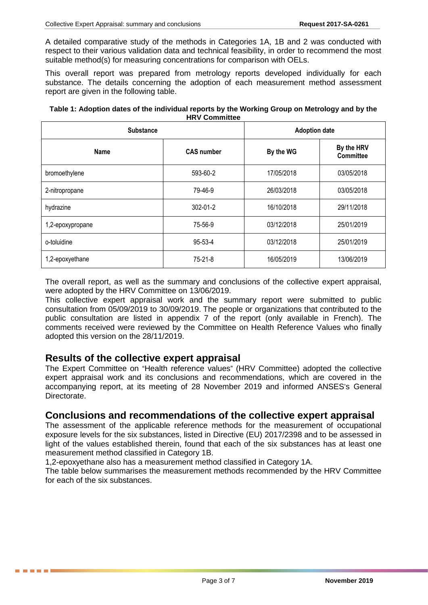A detailed comparative study of the methods in Categories 1A, 1B and 2 was conducted with respect to their various validation data and technical feasibility, in order to recommend the most suitable method(s) for measuring concentrations for comparison with OELs.

This overall report was prepared from metrology reports developed individually for each substance. The details concerning the adoption of each measurement method assessment report are given in the following table.

| Table 1: Adoption dates of the individual reports by the Working Group on Metrology and by the |
|------------------------------------------------------------------------------------------------|
| <b>HRV Committee</b>                                                                           |

| <b>Substance</b> | <b>Adoption date</b> |            |                                |
|------------------|----------------------|------------|--------------------------------|
| <b>Name</b>      | <b>CAS number</b>    | By the WG  | By the HRV<br><b>Committee</b> |
| bromoethylene    | 593-60-2             | 17/05/2018 | 03/05/2018                     |
| 2-nitropropane   | 79-46-9              | 26/03/2018 | 03/05/2018                     |
| hydrazine        | 302-01-2             | 16/10/2018 | 29/11/2018                     |
| 1,2-epoxypropane | 75-56-9              | 03/12/2018 | 25/01/2019                     |
| o-toluidine      | 95-53-4              | 03/12/2018 | 25/01/2019                     |
| 1,2-epoxyethane  | $75 - 21 - 8$        | 16/05/2019 | 13/06/2019                     |

The overall report, as well as the summary and conclusions of the collective expert appraisal, were adopted by the HRV Committee on 13/06/2019.

This collective expert appraisal work and the summary report were submitted to public consultation from 05/09/2019 to 30/09/2019. The people or organizations that contributed to the public consultation are listed in appendix 7 of the report (only available in French). The comments received were reviewed by the Committee on Health Reference Values who finally adopted this version on the 28/11/2019.

### **Results of the collective expert appraisal**

The Expert Committee on "Health reference values" (HRV Committee) adopted the collective expert appraisal work and its conclusions and recommendations, which are covered in the accompanying report, at its meeting of 28 November 2019 and informed ANSES's General Directorate.

### **Conclusions and recommendations of the collective expert appraisal**

The assessment of the applicable reference methods for the measurement of occupational exposure levels for the six substances, listed in Directive (EU) 2017/2398 and to be assessed in light of the values established therein, found that each of the six substances has at least one measurement method classified in Category 1B.

1,2-epoxyethane also has a measurement method classified in Category 1A.

The table below summarises the measurement methods recommended by the HRV Committee for each of the six substances.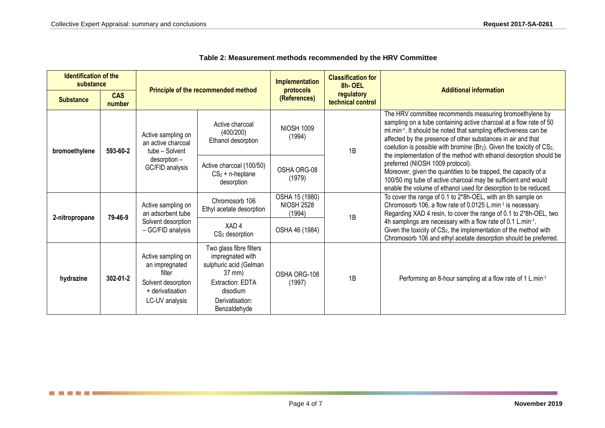and the state of the State

| <b>Identification of the</b><br>substance |                      |                                                                                                            |                                                                                                                                                    | <b>Implementation</b>                                        | <b>Classification for</b><br>8h-OEL | <b>Additional information</b>                                                                                                                                                                                                                                                                                                                                                                                       |  |
|-------------------------------------------|----------------------|------------------------------------------------------------------------------------------------------------|----------------------------------------------------------------------------------------------------------------------------------------------------|--------------------------------------------------------------|-------------------------------------|---------------------------------------------------------------------------------------------------------------------------------------------------------------------------------------------------------------------------------------------------------------------------------------------------------------------------------------------------------------------------------------------------------------------|--|
| <b>Substance</b>                          | <b>CAS</b><br>number | Principle of the recommended method                                                                        |                                                                                                                                                    | protocols<br>regulatory<br>(References)<br>technical control |                                     |                                                                                                                                                                                                                                                                                                                                                                                                                     |  |
| bromoethylene                             | 593-60-2             | Active sampling on<br>an active charcoal<br>tube - Solvent<br>desorption -<br>GC/FID analysis              | Active charcoal<br>(400/200)<br>Ethanol desorption                                                                                                 | <b>NIOSH 1009</b><br>(1994)                                  | 1B                                  | The HRV committee recommends measuring bromoethylene by<br>sampling on a tube containing active charcoal at a flow rate of 50<br>ml.min-1. It should be noted that sampling effectiveness can be<br>affected by the presence of other substances in air and that<br>coelution is possible with bromine (Br2). Given the toxicity of CS2,<br>the implementation of the method with ethanol desorption should be      |  |
|                                           |                      |                                                                                                            | Active charcoal (100/50)<br>$CS2 + n-heptane$<br>desorption                                                                                        | OSHA ORG-08<br>(1979)                                        |                                     | preferred (NIOSH 1009 protocol).<br>Moreover, given the quantities to be trapped, the capacity of a<br>100/50 mg tube of active charcoal may be sufficient and would<br>enable the volume of ethanol used for desorption to be reduced.                                                                                                                                                                             |  |
| 2-nitropropane                            | 79-46-9              | Active sampling on<br>an adsorbent tube<br>Solvent desorption<br>- GC/FID analysis                         | Chromosorb 106<br>Ethyl acetate desorption                                                                                                         | OSHA 15 (1980)<br><b>NIOSH 2528</b><br>(1994)                | 1B                                  | To cover the range of 0.1 to 2*8h-OEL, with an 8h sample on<br>Chromosorb 106, a flow rate of 0.0125 L.min-1 is necessary.<br>Regarding XAD 4 resin, to cover the range of 0.1 to 2*8h-OEL, two<br>4h samplings are necessary with a flow rate of 0.1 L.min-1.<br>Given the toxicity of CS <sub>2</sub> , the implementation of the method with<br>Chromosorb 106 and ethyl acetate desorption should be preferred. |  |
|                                           |                      |                                                                                                            | XAD4<br>CS <sub>2</sub> desorption                                                                                                                 | OSHA 46 (1984)                                               |                                     |                                                                                                                                                                                                                                                                                                                                                                                                                     |  |
| hydrazine                                 | 302-01-2             | Active sampling on<br>an impregnated<br>filter<br>Solvent desorption<br>+ derivatisation<br>LC-UV analysis | Two glass fibre filters<br>impregnated with<br>sulphuric acid (Gelman<br>37 mm)<br>Extraction: EDTA<br>disodium<br>Derivatisation:<br>Benzaldehyde | OSHA ORG-108<br>(1997)                                       | 1B                                  | Performing an 8-hour sampling at a flow rate of 1 L.min-1                                                                                                                                                                                                                                                                                                                                                           |  |

| Table 2: Measurement methods recommended by the HRV Committee |  |
|---------------------------------------------------------------|--|
|---------------------------------------------------------------|--|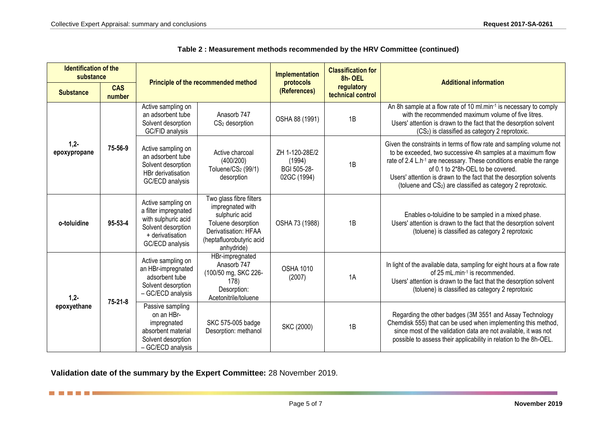| <b>Identification of the</b><br>substance |                      | Principle of the recommended method                                                                                            |                                                                                                                                                       | Implementation                                               | <b>Classification for</b><br>8h-OEL |                                                                                                                                                                                                                                                                                                                                                                                                            |  |
|-------------------------------------------|----------------------|--------------------------------------------------------------------------------------------------------------------------------|-------------------------------------------------------------------------------------------------------------------------------------------------------|--------------------------------------------------------------|-------------------------------------|------------------------------------------------------------------------------------------------------------------------------------------------------------------------------------------------------------------------------------------------------------------------------------------------------------------------------------------------------------------------------------------------------------|--|
| <b>Substance</b>                          | <b>CAS</b><br>number |                                                                                                                                |                                                                                                                                                       | protocols<br>regulatory<br>(References)<br>technical control |                                     | <b>Additional information</b>                                                                                                                                                                                                                                                                                                                                                                              |  |
| $1,2-$<br>epoxypropane                    | 75-56-9              | Active sampling on<br>an adsorbent tube<br>Solvent desorption<br>GC/FID analysis                                               | Anasorb 747<br>$CS2$ desorption                                                                                                                       | OSHA 88 (1991)                                               | 1B                                  | An 8h sample at a flow rate of 10 ml.min-1 is necessary to comply<br>with the recommended maximum volume of five litres.<br>Users' attention is drawn to the fact that the desorption solvent<br>(CS <sub>2</sub> ) is classified as category 2 reprotoxic.                                                                                                                                                |  |
|                                           |                      | Active sampling on<br>an adsorbent tube<br>Solvent desorption<br>HBr derivatisation<br>GC/ECD analysis                         | Active charcoal<br>(400/200)<br>Toluene/CS <sub>2</sub> (99/1)<br>desorption                                                                          | ZH 1-120-28E/2<br>(1994)<br>BGI 505-28-<br>02GC (1994)       | 1B                                  | Given the constraints in terms of flow rate and sampling volume not<br>to be exceeded, two successive 4h samples at a maximum flow<br>rate of 2.4 L.h <sup>-1</sup> are necessary. These conditions enable the range<br>of 0.1 to 2*8h-OEL to be covered.<br>Users' attention is drawn to the fact that the desorption solvents<br>(toluene and CS <sub>2</sub> ) are classified as category 2 reprotoxic. |  |
| o-toluidine                               | 95-53-4              | Active sampling on<br>a filter impregnated<br>with sulphuric acid<br>Solvent desorption<br>+ derivatisation<br>GC/ECD analysis | Two glass fibre filters<br>impregnated with<br>sulphuric acid<br>Toluene desorption<br>Derivatisation: HFAA<br>(heptafluorobutyric acid<br>anhydride) | OSHA 73 (1988)                                               | 1B                                  | Enables o-toluidine to be sampled in a mixed phase.<br>Users' attention is drawn to the fact that the desorption solvent<br>(toluene) is classified as category 2 reprotoxic                                                                                                                                                                                                                               |  |
| $1,2-$<br>epoxyethane                     | $75 - 21 - 8$        | Active sampling on<br>an HBr-impregnated<br>adsorbent tube<br>Solvent desorption<br>- GC/ECD analysis                          | HBr-impregnated<br>Anasorb 747<br>(100/50 mg, SKC 226-<br>178)<br>Desorption:<br>Acetonitrile/toluene                                                 | <b>OSHA 1010</b><br>(2007)                                   | 1A                                  | In light of the available data, sampling for eight hours at a flow rate<br>of 25 mL.min-1 is recommended.<br>Users' attention is drawn to the fact that the desorption solvent<br>(toluene) is classified as category 2 reprotoxic                                                                                                                                                                         |  |
|                                           |                      | Passive sampling<br>on an HBr-<br>impregnated<br>absorbent material<br>Solvent desorption<br>- GC/ECD analysis                 | SKC 575-005 badge<br>Desorption: methanol                                                                                                             | SKC (2000)                                                   | 1B                                  | Regarding the other badges (3M 3551 and Assay Technology<br>Chemdisk 555) that can be used when implementing this method,<br>since most of the validation data are not available, it was not<br>possible to assess their applicability in relation to the 8h-OEL.                                                                                                                                          |  |

#### **Table 2 : Measurement methods recommended by the HRV Committee (continued)**

**Validation date of the summary by the Expert Committee:** 28 November 2019.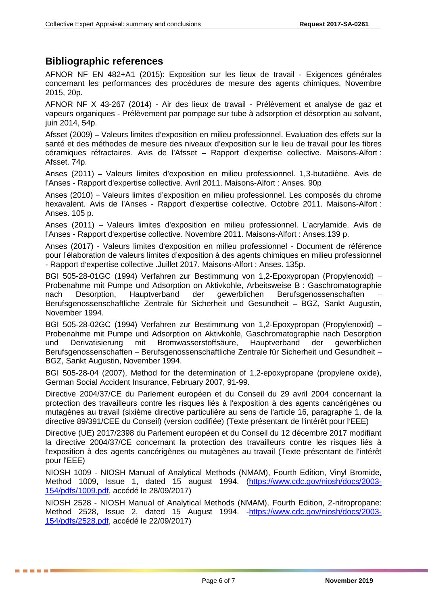# **Bibliographic references**

AFNOR NF EN 482+A1 (2015): Exposition sur les lieux de travail - Exigences générales concernant les performances des procédures de mesure des agents chimiques, Novembre 2015, 20p.

AFNOR NF X 43-267 (2014) - Air des lieux de travail - Prélèvement et analyse de gaz et vapeurs organiques - Prélèvement par pompage sur tube à adsorption et désorption au solvant, juin 2014, 54p.

Afsset (2009) – Valeurs limites d'exposition en milieu professionnel. Evaluation des effets sur la santé et des méthodes de mesure des niveaux d'exposition sur le lieu de travail pour les fibres céramiques réfractaires. Avis de l'Afsset – Rapport d'expertise collective. Maisons-Alfort : Afsset. 74p.

Anses (2011) – Valeurs limites d'exposition en milieu professionnel. 1,3-butadiène. Avis de l'Anses - Rapport d'expertise collective. Avril 2011. Maisons-Alfort : Anses. 90p

Anses (2010) – Valeurs limites d'exposition en milieu professionnel. Les composés du chrome hexavalent. Avis de l'Anses - Rapport d'expertise collective. Octobre 2011. Maisons-Alfort : Anses. 105 p.

Anses (2011) – Valeurs limites d'exposition en milieu professionnel. L'acrylamide. Avis de l'Anses - Rapport d'expertise collective. Novembre 2011. Maisons-Alfort : Anses.139 p.

Anses (2017) - Valeurs limites d'exposition en milieu professionnel - Document de référence pour l'élaboration de valeurs limites d'exposition à des agents chimiques en milieu professionnel - Rapport d'expertise collective .Juillet 2017. Maisons-Alfort : Anses. 135p.

BGI 505-28-01GC (1994) Verfahren zur Bestimmung von 1,2-Epoxypropan (Propylenoxid) – Probenahme mit Pumpe und Adsorption on Aktivkohle, Arbeitsweise B : Gaschromatographie nach Desorption, Hauptverband der gewerblichen Berufsgenossenschaften – Berufsgenossenschaftliche Zentrale für Sicherheit und Gesundheit – BGZ, Sankt Augustin, November 1994.

BGI 505-28-02GC (1994) Verfahren zur Bestimmung von 1,2-Epoxypropan (Propylenoxid) – Probenahme mit Pumpe und Adsorption on Aktivkohle, Gaschromatographie nach Desorption und Derivatisierung mit Bromwasserstoffsäure, Hauptverband der gewerblichen Berufsgenossenschaften – Berufsgenossenschaftliche Zentrale für Sicherheit und Gesundheit – BGZ, Sankt Augustin, November 1994.

BGI 505-28-04 (2007), Method for the determination of 1,2-epoxypropane (propylene oxide), German Social Accident Insurance, February 2007, 91-99.

Directive 2004/37/CE du Parlement européen et du Conseil du 29 avril 2004 concernant la protection des travailleurs contre les risques liés à l'exposition à des agents cancérigènes ou mutagènes au travail (sixième directive particulière au sens de l'article 16, paragraphe 1, de la directive 89/391/CEE du Conseil) (version codifiée) (Texte présentant de l'intérêt pour l'EEE)

Directive (UE) 2017/2398 du Parlement européen et du Conseil du 12 décembre 2017 modifiant la directive 2004/37/CE concernant la protection des travailleurs contre les risques liés à l'exposition à des agents cancérigènes ou mutagènes au travail (Texte présentant de l'intérêt pour l'EEE)

NIOSH 1009 - NIOSH Manual of Analytical Methods (NMAM), Fourth Edition, Vinyl Bromide, Method 1009, Issue 1, dated 15 august 1994. [\(https://www.cdc.gov/niosh/docs/2003-](https://www.cdc.gov/niosh/docs/2003-154/pdfs/1009.pdf) [154/pdfs/1009.pdf,](https://www.cdc.gov/niosh/docs/2003-154/pdfs/1009.pdf) accédé le 28/09/2017)

NIOSH 2528 - NIOSH Manual of Analytical Methods (NMAM), Fourth Edition, 2-nitropropane: Method 2528, Issue 2, dated 15 August 1994. - https://www.cdc.gov/niosh/docs/2003-[154/pdfs/2528.pdf,](https://www.cdc.gov/niosh/docs/2003-154/pdfs/2528.pdf) accédé le 22/09/2017)